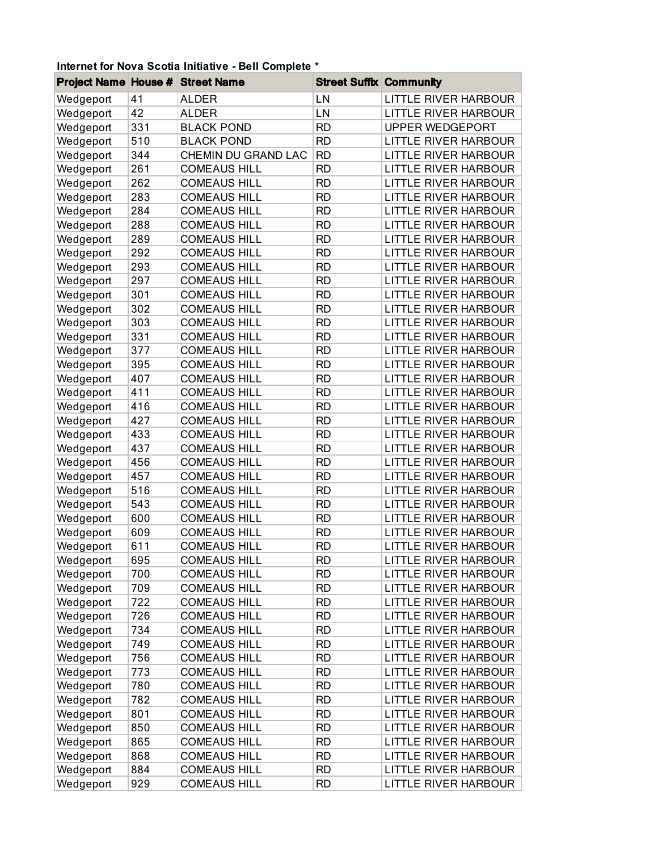## Project Name House # Street Name Street Suffix Community Wedgeport 41 ALDER LN LITTLE RIVER HARBOUR Wedgeport 42 ALDER LN LITTLE RIVER HARBOUR Wedgeport 331 BLACK POND RD UPPER WEDGEPORT Wedgeport 510 BLACK POND RD LITTLE RIVER HARBOUR Wedgeport 344 CHEMIN DU GRAND LAC RD LITTLE RIVER HARBOUR Wedgeport 261 COMEAUS HILL RID RESERT LITTLE RIVER HARBOUR Wedgeport 262 COMEAUS HILL RID LITTLE RIVER HARBOUR Wedgeport 283 COMEAUS HILL RD LITTLE RIVER HARBOUR Wedgeport 284 COMEAUS HILL RID LITTLE RIVER HARBOUR Wedgeport 288 COMEAUS HILL RD LITTLE RIVER HARBOUR Wedgeport 289 COMEAUS HILL RIVER HARBOUR Wedgeport 292 COMEAUS HILL RID RD LITTLE RIVER HARBOUR Wedgeport 293 COMEAUS HILL RD LITTLE RIVER HARBOUR Wedgeport 297 COMEAUS HILL RD LITTLE RIVER HARBOUR Wedgeport 301 COMEAUS HILL RD LITTLE RIVER HARBOUR Wedgeport 302 COMEAUS HILL RD LITTLE RIVER HARBOUR Wedgeport 303 COMEAUS HILL RD LITTLE RIVER HARBOUR Wedgeport 331 COMEAUS HILL RID LITTLE RIVER HARBOUR Wedgeport 377 COMEAUS HILL RD LITTLE RIVER HARBOUR Wedgeport 395 COMEAUS HILL RIVER HARBOUR Wedgeport 407 COMEAUS HILL RD LITTLE RIVER HARBOUR Wedgeport 411 COMEAUS HILL RD LITTLE RIVER HARBOUR Wedgeport 416 COMEAUS HILL RD LITTLE RIVER HARBOUR Wedgeport 427 COMEAUS HILL RD LITTLE RIVER HARBOUR Wedgeport 433 COMEAUS HILL RD LITTLE RIVER HARBOUR Wedgeport 437 COMEAUS HILL RD LITTLE RIVER HARBOUR Wedgeport 456 COMEAUS HILL RD LITTLE RIVER HARBOUR Wedgeport 457 COMEAUS HILL RD LITTLE RIVER HARBOUR Wedgeport 516 COMEAUS HILL RD LITTLE RIVER HARBOUR Wedgeport 543 COMEAUS HILL RD LITTLE RIVER HARBOUR Wedgeport 600 COMEAUS HILL RD LITTLE RIVER HARBOUR Wedgeport 609 COMEAUS HILL RD LITTLE RIVER HARBOUR Wedgeport 611 COMEAUS HILL RD LITTLE RIVER HARBOUR Wedgeport 695 COMEAUS HILL RID LITTLE RIVER HARBOUR Wedgeport 700 COMEAUS HILL RID RD LITTLE RIVER HARBOUR Wedgeport 709 COMEAUS HILL RD LITTLE RIVER HARBOUR Wedgeport 722 COMEAUS HILL RD LITTLE RIVER HARBOUR Wedgeport 726 COMEAUS HILL RD LITTLE RIVER HARBOUR Wedgeport 734 COMEAUS HILL RD LITTLE RIVER HARBOUR Wedgeport 749 COMEAUS HILL RD LITTLE RIVER HARBOUR Wedgeport 756 COMEAUS HILL RD LITTLE RIVER HARBOUR Wedgeport 773 COMEAUS HILL RD LITTLE RIVER HARBOUR Wedgeport 780 COMEAUS HILL RD LITTLE RIVER HARBOUR

Wedgeport 782 COMEAUS HILL RD LITTLE RIVER HARBOUR Wedgeport 801 COMEAUS HILL RID LITTLE RIVER HARBOUR Wedgeport 850 COMEAUS HILL RD LITTLE RIVER HARBOUR Wedgeport 865 COMEAUS HILL RIVER HARBOUR Wedgeport 868 COMEAUS HILL RIVER HARBOUR Wedgeport 884 COMEAUS HILL RD LITTLE RIVER HARBOUR Wedgeport 929 COMEAUS HILL RD LITTLE RIVER HARBOUR

## **Internet for Nova Scotia Initiative - Bell Complete \***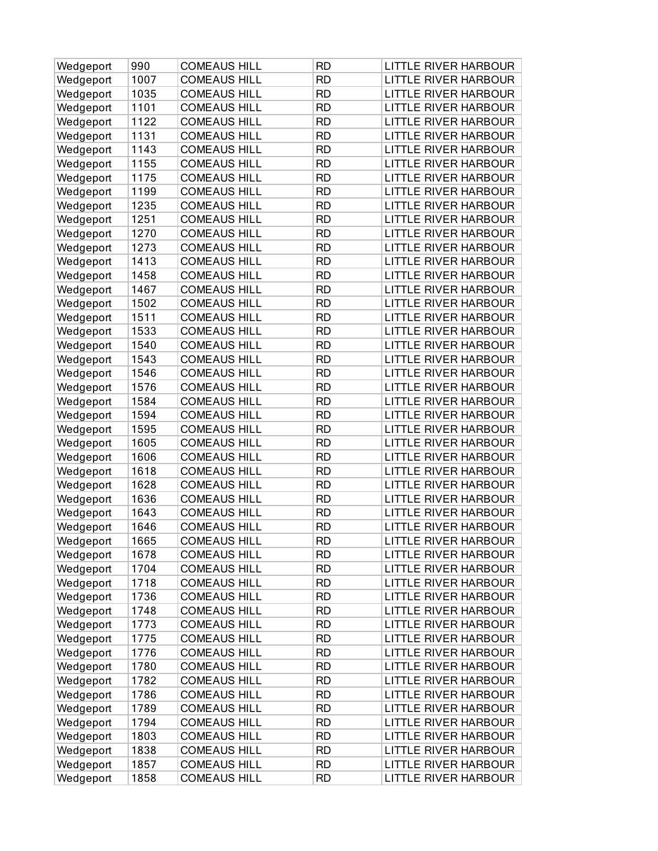| 1007<br><b>COMEAUS HILL</b><br><b>RD</b><br><b>LITTLE RIVER HARBOUR</b><br>Wedgeport<br>1035<br><b>RD</b><br><b>COMEAUS HILL</b><br><b>LITTLE RIVER HARBOUR</b><br>Wedgeport<br>1101<br><b>COMEAUS HILL</b><br><b>RD</b><br><b>LITTLE RIVER HARBOUR</b><br>Wedgeport<br>1122<br><b>COMEAUS HILL</b><br><b>RD</b><br>LITTLE RIVER HARBOUR<br>Wedgeport<br>1131<br><b>COMEAUS HILL</b><br><b>RD</b><br><b>LITTLE RIVER HARBOUR</b><br>Wedgeport<br>1143<br><b>COMEAUS HILL</b><br><b>RD</b><br>Wedgeport<br><b>LITTLE RIVER HARBOUR</b><br><b>RD</b><br>1155<br><b>COMEAUS HILL</b><br><b>LITTLE RIVER HARBOUR</b><br>Wedgeport<br>1175<br><b>COMEAUS HILL</b><br><b>RD</b><br><b>LITTLE RIVER HARBOUR</b><br>Wedgeport<br>1199<br><b>RD</b><br><b>COMEAUS HILL</b><br><b>LITTLE RIVER HARBOUR</b><br>Wedgeport<br><b>RD</b><br>1235<br><b>COMEAUS HILL</b><br><b>LITTLE RIVER HARBOUR</b><br>Wedgeport<br>1251<br><b>COMEAUS HILL</b><br><b>RD</b><br>LITTLE RIVER HARBOUR<br>Wedgeport<br>1270<br><b>COMEAUS HILL</b><br><b>RD</b><br>Wedgeport<br><b>LITTLE RIVER HARBOUR</b><br><b>RD</b><br>1273<br><b>COMEAUS HILL</b><br><b>LITTLE RIVER HARBOUR</b><br>Wedgeport<br>1413<br><b>RD</b><br><b>COMEAUS HILL</b><br><b>LITTLE RIVER HARBOUR</b><br>Wedgeport<br>1458<br><b>COMEAUS HILL</b><br><b>RD</b><br><b>LITTLE RIVER HARBOUR</b><br>Wedgeport<br>1467<br><b>COMEAUS HILL</b><br><b>RD</b><br>LITTLE RIVER HARBOUR<br>Wedgeport<br>1502<br><b>COMEAUS HILL</b><br><b>RD</b><br><b>LITTLE RIVER HARBOUR</b><br>Wedgeport<br>1511<br><b>COMEAUS HILL</b><br><b>RD</b><br>Wedgeport<br><b>LITTLE RIVER HARBOUR</b><br><b>RD</b><br>1533<br><b>COMEAUS HILL</b><br><b>LITTLE RIVER HARBOUR</b><br>Wedgeport<br>1540<br><b>COMEAUS HILL</b><br><b>RD</b><br><b>LITTLE RIVER HARBOUR</b><br>Wedgeport<br><b>RD</b><br>1543<br><b>COMEAUS HILL</b><br><b>LITTLE RIVER HARBOUR</b><br>Wedgeport<br><b>RD</b><br>1546<br><b>COMEAUS HILL</b><br><b>LITTLE RIVER HARBOUR</b><br>Wedgeport<br>1576<br><b>COMEAUS HILL</b><br><b>RD</b><br>LITTLE RIVER HARBOUR<br>Wedgeport<br>1584<br><b>COMEAUS HILL</b><br><b>RD</b><br>Wedgeport<br><b>LITTLE RIVER HARBOUR</b><br><b>RD</b><br>1594<br><b>COMEAUS HILL</b><br><b>LITTLE RIVER HARBOUR</b><br>Wedgeport<br>1595<br><b>RD</b><br><b>COMEAUS HILL</b><br><b>LITTLE RIVER HARBOUR</b><br>Wedgeport<br>1605<br><b>COMEAUS HILL</b><br><b>RD</b><br><b>LITTLE RIVER HARBOUR</b><br>Wedgeport<br>1606<br><b>COMEAUS HILL</b><br><b>RD</b><br><b>LITTLE RIVER HARBOUR</b><br>Wedgeport<br><b>COMEAUS HILL</b><br>1618<br><b>RD</b><br><b>LITTLE RIVER HARBOUR</b><br>Wedgeport<br>1628<br><b>COMEAUS HILL</b><br><b>RD</b><br>Wedgeport<br><b>LITTLE RIVER HARBOUR</b><br><b>RD</b><br>1636<br><b>COMEAUS HILL</b><br><b>LITTLE RIVER HARBOUR</b><br>Wedgeport<br>1643<br><b>COMEAUS HILL</b><br><b>RD</b><br><b>LITTLE RIVER HARBOUR</b><br>Wedgeport<br>1646<br><b>COMEAUS HILL</b><br><b>RD</b><br><b>LITTLE RIVER HARBOUR</b><br>Wedgeport<br>1665<br><b>COMEAUS HILL</b><br><b>RD</b><br><b>LITTLE RIVER HARBOUR</b><br>Wedgeport<br>1678<br><b>COMEAUS HILL</b><br><b>RD</b><br>LITTLE RIVER HARBOUR<br>Wedgeport<br>LITTLE RIVER HARBOUR<br>Wedgeport<br>1704<br><b>COMEAUS HILL</b><br><b>RD</b><br>1718<br><b>COMEAUS HILL</b><br><b>RD</b><br><b>LITTLE RIVER HARBOUR</b><br>Wedgeport<br>1736<br><b>LITTLE RIVER HARBOUR</b><br><b>COMEAUS HILL</b><br><b>RD</b><br>Wedgeport<br>1748<br><b>RD</b><br><b>LITTLE RIVER HARBOUR</b><br><b>COMEAUS HILL</b><br>Wedgeport<br>1773<br><b>COMEAUS HILL</b><br><b>RD</b><br><b>LITTLE RIVER HARBOUR</b><br>Wedgeport<br>Wedgeport<br>1775<br><b>COMEAUS HILL</b><br><b>RD</b><br><b>LITTLE RIVER HARBOUR</b><br><b>RD</b><br>Wedgeport<br>1776<br><b>COMEAUS HILL</b><br><b>LITTLE RIVER HARBOUR</b><br>1780<br><b>COMEAUS HILL</b><br><b>RD</b><br><b>LITTLE RIVER HARBOUR</b><br>Wedgeport<br>Wedgeport<br>1782<br><b>COMEAUS HILL</b><br><b>RD</b><br><b>LITTLE RIVER HARBOUR</b><br><b>RD</b><br><b>LITTLE RIVER HARBOUR</b><br>1786<br><b>COMEAUS HILL</b><br>Wedgeport<br>1789<br><b>RD</b><br><b>LITTLE RIVER HARBOUR</b><br>Wedgeport<br><b>COMEAUS HILL</b><br>1794<br><b>COMEAUS HILL</b><br><b>RD</b><br><b>LITTLE RIVER HARBOUR</b><br>Wedgeport<br>1803<br><b>LITTLE RIVER HARBOUR</b><br>Wedgeport<br><b>COMEAUS HILL</b><br><b>RD</b><br>1838<br><b>COMEAUS HILL</b><br><b>RD</b><br><b>LITTLE RIVER HARBOUR</b><br>Wedgeport<br><b>LITTLE RIVER HARBOUR</b><br>Wedgeport<br>1857<br><b>COMEAUS HILL</b><br><b>RD</b> | Wedgeport | 990  | <b>COMEAUS HILL</b> | <b>RD</b> | <b>LITTLE RIVER HARBOUR</b> |
|------------------------------------------------------------------------------------------------------------------------------------------------------------------------------------------------------------------------------------------------------------------------------------------------------------------------------------------------------------------------------------------------------------------------------------------------------------------------------------------------------------------------------------------------------------------------------------------------------------------------------------------------------------------------------------------------------------------------------------------------------------------------------------------------------------------------------------------------------------------------------------------------------------------------------------------------------------------------------------------------------------------------------------------------------------------------------------------------------------------------------------------------------------------------------------------------------------------------------------------------------------------------------------------------------------------------------------------------------------------------------------------------------------------------------------------------------------------------------------------------------------------------------------------------------------------------------------------------------------------------------------------------------------------------------------------------------------------------------------------------------------------------------------------------------------------------------------------------------------------------------------------------------------------------------------------------------------------------------------------------------------------------------------------------------------------------------------------------------------------------------------------------------------------------------------------------------------------------------------------------------------------------------------------------------------------------------------------------------------------------------------------------------------------------------------------------------------------------------------------------------------------------------------------------------------------------------------------------------------------------------------------------------------------------------------------------------------------------------------------------------------------------------------------------------------------------------------------------------------------------------------------------------------------------------------------------------------------------------------------------------------------------------------------------------------------------------------------------------------------------------------------------------------------------------------------------------------------------------------------------------------------------------------------------------------------------------------------------------------------------------------------------------------------------------------------------------------------------------------------------------------------------------------------------------------------------------------------------------------------------------------------------------------------------------------------------------------------------------------------------------------------------------------------------------------------------------------------------------------------------------------------------------------------------------------------------------------------------------------------------------------------------------------------------------------------------------------------------------------------------------------------------------------------------------------------------------------------------------------------------------------------------------------------------------------------------------------------------------------------------------------------------------------------------------------------------------------------------------------------------------------------------------------|-----------|------|---------------------|-----------|-----------------------------|
|                                                                                                                                                                                                                                                                                                                                                                                                                                                                                                                                                                                                                                                                                                                                                                                                                                                                                                                                                                                                                                                                                                                                                                                                                                                                                                                                                                                                                                                                                                                                                                                                                                                                                                                                                                                                                                                                                                                                                                                                                                                                                                                                                                                                                                                                                                                                                                                                                                                                                                                                                                                                                                                                                                                                                                                                                                                                                                                                                                                                                                                                                                                                                                                                                                                                                                                                                                                                                                                                                                                                                                                                                                                                                                                                                                                                                                                                                                                                                                                                                                                                                                                                                                                                                                                                                                                                                                                                                                                                                                                                    |           |      |                     |           |                             |
|                                                                                                                                                                                                                                                                                                                                                                                                                                                                                                                                                                                                                                                                                                                                                                                                                                                                                                                                                                                                                                                                                                                                                                                                                                                                                                                                                                                                                                                                                                                                                                                                                                                                                                                                                                                                                                                                                                                                                                                                                                                                                                                                                                                                                                                                                                                                                                                                                                                                                                                                                                                                                                                                                                                                                                                                                                                                                                                                                                                                                                                                                                                                                                                                                                                                                                                                                                                                                                                                                                                                                                                                                                                                                                                                                                                                                                                                                                                                                                                                                                                                                                                                                                                                                                                                                                                                                                                                                                                                                                                                    |           |      |                     |           |                             |
|                                                                                                                                                                                                                                                                                                                                                                                                                                                                                                                                                                                                                                                                                                                                                                                                                                                                                                                                                                                                                                                                                                                                                                                                                                                                                                                                                                                                                                                                                                                                                                                                                                                                                                                                                                                                                                                                                                                                                                                                                                                                                                                                                                                                                                                                                                                                                                                                                                                                                                                                                                                                                                                                                                                                                                                                                                                                                                                                                                                                                                                                                                                                                                                                                                                                                                                                                                                                                                                                                                                                                                                                                                                                                                                                                                                                                                                                                                                                                                                                                                                                                                                                                                                                                                                                                                                                                                                                                                                                                                                                    |           |      |                     |           |                             |
|                                                                                                                                                                                                                                                                                                                                                                                                                                                                                                                                                                                                                                                                                                                                                                                                                                                                                                                                                                                                                                                                                                                                                                                                                                                                                                                                                                                                                                                                                                                                                                                                                                                                                                                                                                                                                                                                                                                                                                                                                                                                                                                                                                                                                                                                                                                                                                                                                                                                                                                                                                                                                                                                                                                                                                                                                                                                                                                                                                                                                                                                                                                                                                                                                                                                                                                                                                                                                                                                                                                                                                                                                                                                                                                                                                                                                                                                                                                                                                                                                                                                                                                                                                                                                                                                                                                                                                                                                                                                                                                                    |           |      |                     |           |                             |
|                                                                                                                                                                                                                                                                                                                                                                                                                                                                                                                                                                                                                                                                                                                                                                                                                                                                                                                                                                                                                                                                                                                                                                                                                                                                                                                                                                                                                                                                                                                                                                                                                                                                                                                                                                                                                                                                                                                                                                                                                                                                                                                                                                                                                                                                                                                                                                                                                                                                                                                                                                                                                                                                                                                                                                                                                                                                                                                                                                                                                                                                                                                                                                                                                                                                                                                                                                                                                                                                                                                                                                                                                                                                                                                                                                                                                                                                                                                                                                                                                                                                                                                                                                                                                                                                                                                                                                                                                                                                                                                                    |           |      |                     |           |                             |
|                                                                                                                                                                                                                                                                                                                                                                                                                                                                                                                                                                                                                                                                                                                                                                                                                                                                                                                                                                                                                                                                                                                                                                                                                                                                                                                                                                                                                                                                                                                                                                                                                                                                                                                                                                                                                                                                                                                                                                                                                                                                                                                                                                                                                                                                                                                                                                                                                                                                                                                                                                                                                                                                                                                                                                                                                                                                                                                                                                                                                                                                                                                                                                                                                                                                                                                                                                                                                                                                                                                                                                                                                                                                                                                                                                                                                                                                                                                                                                                                                                                                                                                                                                                                                                                                                                                                                                                                                                                                                                                                    |           |      |                     |           |                             |
|                                                                                                                                                                                                                                                                                                                                                                                                                                                                                                                                                                                                                                                                                                                                                                                                                                                                                                                                                                                                                                                                                                                                                                                                                                                                                                                                                                                                                                                                                                                                                                                                                                                                                                                                                                                                                                                                                                                                                                                                                                                                                                                                                                                                                                                                                                                                                                                                                                                                                                                                                                                                                                                                                                                                                                                                                                                                                                                                                                                                                                                                                                                                                                                                                                                                                                                                                                                                                                                                                                                                                                                                                                                                                                                                                                                                                                                                                                                                                                                                                                                                                                                                                                                                                                                                                                                                                                                                                                                                                                                                    |           |      |                     |           |                             |
|                                                                                                                                                                                                                                                                                                                                                                                                                                                                                                                                                                                                                                                                                                                                                                                                                                                                                                                                                                                                                                                                                                                                                                                                                                                                                                                                                                                                                                                                                                                                                                                                                                                                                                                                                                                                                                                                                                                                                                                                                                                                                                                                                                                                                                                                                                                                                                                                                                                                                                                                                                                                                                                                                                                                                                                                                                                                                                                                                                                                                                                                                                                                                                                                                                                                                                                                                                                                                                                                                                                                                                                                                                                                                                                                                                                                                                                                                                                                                                                                                                                                                                                                                                                                                                                                                                                                                                                                                                                                                                                                    |           |      |                     |           |                             |
|                                                                                                                                                                                                                                                                                                                                                                                                                                                                                                                                                                                                                                                                                                                                                                                                                                                                                                                                                                                                                                                                                                                                                                                                                                                                                                                                                                                                                                                                                                                                                                                                                                                                                                                                                                                                                                                                                                                                                                                                                                                                                                                                                                                                                                                                                                                                                                                                                                                                                                                                                                                                                                                                                                                                                                                                                                                                                                                                                                                                                                                                                                                                                                                                                                                                                                                                                                                                                                                                                                                                                                                                                                                                                                                                                                                                                                                                                                                                                                                                                                                                                                                                                                                                                                                                                                                                                                                                                                                                                                                                    |           |      |                     |           |                             |
|                                                                                                                                                                                                                                                                                                                                                                                                                                                                                                                                                                                                                                                                                                                                                                                                                                                                                                                                                                                                                                                                                                                                                                                                                                                                                                                                                                                                                                                                                                                                                                                                                                                                                                                                                                                                                                                                                                                                                                                                                                                                                                                                                                                                                                                                                                                                                                                                                                                                                                                                                                                                                                                                                                                                                                                                                                                                                                                                                                                                                                                                                                                                                                                                                                                                                                                                                                                                                                                                                                                                                                                                                                                                                                                                                                                                                                                                                                                                                                                                                                                                                                                                                                                                                                                                                                                                                                                                                                                                                                                                    |           |      |                     |           |                             |
|                                                                                                                                                                                                                                                                                                                                                                                                                                                                                                                                                                                                                                                                                                                                                                                                                                                                                                                                                                                                                                                                                                                                                                                                                                                                                                                                                                                                                                                                                                                                                                                                                                                                                                                                                                                                                                                                                                                                                                                                                                                                                                                                                                                                                                                                                                                                                                                                                                                                                                                                                                                                                                                                                                                                                                                                                                                                                                                                                                                                                                                                                                                                                                                                                                                                                                                                                                                                                                                                                                                                                                                                                                                                                                                                                                                                                                                                                                                                                                                                                                                                                                                                                                                                                                                                                                                                                                                                                                                                                                                                    |           |      |                     |           |                             |
|                                                                                                                                                                                                                                                                                                                                                                                                                                                                                                                                                                                                                                                                                                                                                                                                                                                                                                                                                                                                                                                                                                                                                                                                                                                                                                                                                                                                                                                                                                                                                                                                                                                                                                                                                                                                                                                                                                                                                                                                                                                                                                                                                                                                                                                                                                                                                                                                                                                                                                                                                                                                                                                                                                                                                                                                                                                                                                                                                                                                                                                                                                                                                                                                                                                                                                                                                                                                                                                                                                                                                                                                                                                                                                                                                                                                                                                                                                                                                                                                                                                                                                                                                                                                                                                                                                                                                                                                                                                                                                                                    |           |      |                     |           |                             |
|                                                                                                                                                                                                                                                                                                                                                                                                                                                                                                                                                                                                                                                                                                                                                                                                                                                                                                                                                                                                                                                                                                                                                                                                                                                                                                                                                                                                                                                                                                                                                                                                                                                                                                                                                                                                                                                                                                                                                                                                                                                                                                                                                                                                                                                                                                                                                                                                                                                                                                                                                                                                                                                                                                                                                                                                                                                                                                                                                                                                                                                                                                                                                                                                                                                                                                                                                                                                                                                                                                                                                                                                                                                                                                                                                                                                                                                                                                                                                                                                                                                                                                                                                                                                                                                                                                                                                                                                                                                                                                                                    |           |      |                     |           |                             |
|                                                                                                                                                                                                                                                                                                                                                                                                                                                                                                                                                                                                                                                                                                                                                                                                                                                                                                                                                                                                                                                                                                                                                                                                                                                                                                                                                                                                                                                                                                                                                                                                                                                                                                                                                                                                                                                                                                                                                                                                                                                                                                                                                                                                                                                                                                                                                                                                                                                                                                                                                                                                                                                                                                                                                                                                                                                                                                                                                                                                                                                                                                                                                                                                                                                                                                                                                                                                                                                                                                                                                                                                                                                                                                                                                                                                                                                                                                                                                                                                                                                                                                                                                                                                                                                                                                                                                                                                                                                                                                                                    |           |      |                     |           |                             |
|                                                                                                                                                                                                                                                                                                                                                                                                                                                                                                                                                                                                                                                                                                                                                                                                                                                                                                                                                                                                                                                                                                                                                                                                                                                                                                                                                                                                                                                                                                                                                                                                                                                                                                                                                                                                                                                                                                                                                                                                                                                                                                                                                                                                                                                                                                                                                                                                                                                                                                                                                                                                                                                                                                                                                                                                                                                                                                                                                                                                                                                                                                                                                                                                                                                                                                                                                                                                                                                                                                                                                                                                                                                                                                                                                                                                                                                                                                                                                                                                                                                                                                                                                                                                                                                                                                                                                                                                                                                                                                                                    |           |      |                     |           |                             |
|                                                                                                                                                                                                                                                                                                                                                                                                                                                                                                                                                                                                                                                                                                                                                                                                                                                                                                                                                                                                                                                                                                                                                                                                                                                                                                                                                                                                                                                                                                                                                                                                                                                                                                                                                                                                                                                                                                                                                                                                                                                                                                                                                                                                                                                                                                                                                                                                                                                                                                                                                                                                                                                                                                                                                                                                                                                                                                                                                                                                                                                                                                                                                                                                                                                                                                                                                                                                                                                                                                                                                                                                                                                                                                                                                                                                                                                                                                                                                                                                                                                                                                                                                                                                                                                                                                                                                                                                                                                                                                                                    |           |      |                     |           |                             |
|                                                                                                                                                                                                                                                                                                                                                                                                                                                                                                                                                                                                                                                                                                                                                                                                                                                                                                                                                                                                                                                                                                                                                                                                                                                                                                                                                                                                                                                                                                                                                                                                                                                                                                                                                                                                                                                                                                                                                                                                                                                                                                                                                                                                                                                                                                                                                                                                                                                                                                                                                                                                                                                                                                                                                                                                                                                                                                                                                                                                                                                                                                                                                                                                                                                                                                                                                                                                                                                                                                                                                                                                                                                                                                                                                                                                                                                                                                                                                                                                                                                                                                                                                                                                                                                                                                                                                                                                                                                                                                                                    |           |      |                     |           |                             |
|                                                                                                                                                                                                                                                                                                                                                                                                                                                                                                                                                                                                                                                                                                                                                                                                                                                                                                                                                                                                                                                                                                                                                                                                                                                                                                                                                                                                                                                                                                                                                                                                                                                                                                                                                                                                                                                                                                                                                                                                                                                                                                                                                                                                                                                                                                                                                                                                                                                                                                                                                                                                                                                                                                                                                                                                                                                                                                                                                                                                                                                                                                                                                                                                                                                                                                                                                                                                                                                                                                                                                                                                                                                                                                                                                                                                                                                                                                                                                                                                                                                                                                                                                                                                                                                                                                                                                                                                                                                                                                                                    |           |      |                     |           |                             |
|                                                                                                                                                                                                                                                                                                                                                                                                                                                                                                                                                                                                                                                                                                                                                                                                                                                                                                                                                                                                                                                                                                                                                                                                                                                                                                                                                                                                                                                                                                                                                                                                                                                                                                                                                                                                                                                                                                                                                                                                                                                                                                                                                                                                                                                                                                                                                                                                                                                                                                                                                                                                                                                                                                                                                                                                                                                                                                                                                                                                                                                                                                                                                                                                                                                                                                                                                                                                                                                                                                                                                                                                                                                                                                                                                                                                                                                                                                                                                                                                                                                                                                                                                                                                                                                                                                                                                                                                                                                                                                                                    |           |      |                     |           |                             |
|                                                                                                                                                                                                                                                                                                                                                                                                                                                                                                                                                                                                                                                                                                                                                                                                                                                                                                                                                                                                                                                                                                                                                                                                                                                                                                                                                                                                                                                                                                                                                                                                                                                                                                                                                                                                                                                                                                                                                                                                                                                                                                                                                                                                                                                                                                                                                                                                                                                                                                                                                                                                                                                                                                                                                                                                                                                                                                                                                                                                                                                                                                                                                                                                                                                                                                                                                                                                                                                                                                                                                                                                                                                                                                                                                                                                                                                                                                                                                                                                                                                                                                                                                                                                                                                                                                                                                                                                                                                                                                                                    |           |      |                     |           |                             |
|                                                                                                                                                                                                                                                                                                                                                                                                                                                                                                                                                                                                                                                                                                                                                                                                                                                                                                                                                                                                                                                                                                                                                                                                                                                                                                                                                                                                                                                                                                                                                                                                                                                                                                                                                                                                                                                                                                                                                                                                                                                                                                                                                                                                                                                                                                                                                                                                                                                                                                                                                                                                                                                                                                                                                                                                                                                                                                                                                                                                                                                                                                                                                                                                                                                                                                                                                                                                                                                                                                                                                                                                                                                                                                                                                                                                                                                                                                                                                                                                                                                                                                                                                                                                                                                                                                                                                                                                                                                                                                                                    |           |      |                     |           |                             |
|                                                                                                                                                                                                                                                                                                                                                                                                                                                                                                                                                                                                                                                                                                                                                                                                                                                                                                                                                                                                                                                                                                                                                                                                                                                                                                                                                                                                                                                                                                                                                                                                                                                                                                                                                                                                                                                                                                                                                                                                                                                                                                                                                                                                                                                                                                                                                                                                                                                                                                                                                                                                                                                                                                                                                                                                                                                                                                                                                                                                                                                                                                                                                                                                                                                                                                                                                                                                                                                                                                                                                                                                                                                                                                                                                                                                                                                                                                                                                                                                                                                                                                                                                                                                                                                                                                                                                                                                                                                                                                                                    |           |      |                     |           |                             |
|                                                                                                                                                                                                                                                                                                                                                                                                                                                                                                                                                                                                                                                                                                                                                                                                                                                                                                                                                                                                                                                                                                                                                                                                                                                                                                                                                                                                                                                                                                                                                                                                                                                                                                                                                                                                                                                                                                                                                                                                                                                                                                                                                                                                                                                                                                                                                                                                                                                                                                                                                                                                                                                                                                                                                                                                                                                                                                                                                                                                                                                                                                                                                                                                                                                                                                                                                                                                                                                                                                                                                                                                                                                                                                                                                                                                                                                                                                                                                                                                                                                                                                                                                                                                                                                                                                                                                                                                                                                                                                                                    |           |      |                     |           |                             |
|                                                                                                                                                                                                                                                                                                                                                                                                                                                                                                                                                                                                                                                                                                                                                                                                                                                                                                                                                                                                                                                                                                                                                                                                                                                                                                                                                                                                                                                                                                                                                                                                                                                                                                                                                                                                                                                                                                                                                                                                                                                                                                                                                                                                                                                                                                                                                                                                                                                                                                                                                                                                                                                                                                                                                                                                                                                                                                                                                                                                                                                                                                                                                                                                                                                                                                                                                                                                                                                                                                                                                                                                                                                                                                                                                                                                                                                                                                                                                                                                                                                                                                                                                                                                                                                                                                                                                                                                                                                                                                                                    |           |      |                     |           |                             |
|                                                                                                                                                                                                                                                                                                                                                                                                                                                                                                                                                                                                                                                                                                                                                                                                                                                                                                                                                                                                                                                                                                                                                                                                                                                                                                                                                                                                                                                                                                                                                                                                                                                                                                                                                                                                                                                                                                                                                                                                                                                                                                                                                                                                                                                                                                                                                                                                                                                                                                                                                                                                                                                                                                                                                                                                                                                                                                                                                                                                                                                                                                                                                                                                                                                                                                                                                                                                                                                                                                                                                                                                                                                                                                                                                                                                                                                                                                                                                                                                                                                                                                                                                                                                                                                                                                                                                                                                                                                                                                                                    |           |      |                     |           |                             |
|                                                                                                                                                                                                                                                                                                                                                                                                                                                                                                                                                                                                                                                                                                                                                                                                                                                                                                                                                                                                                                                                                                                                                                                                                                                                                                                                                                                                                                                                                                                                                                                                                                                                                                                                                                                                                                                                                                                                                                                                                                                                                                                                                                                                                                                                                                                                                                                                                                                                                                                                                                                                                                                                                                                                                                                                                                                                                                                                                                                                                                                                                                                                                                                                                                                                                                                                                                                                                                                                                                                                                                                                                                                                                                                                                                                                                                                                                                                                                                                                                                                                                                                                                                                                                                                                                                                                                                                                                                                                                                                                    |           |      |                     |           |                             |
|                                                                                                                                                                                                                                                                                                                                                                                                                                                                                                                                                                                                                                                                                                                                                                                                                                                                                                                                                                                                                                                                                                                                                                                                                                                                                                                                                                                                                                                                                                                                                                                                                                                                                                                                                                                                                                                                                                                                                                                                                                                                                                                                                                                                                                                                                                                                                                                                                                                                                                                                                                                                                                                                                                                                                                                                                                                                                                                                                                                                                                                                                                                                                                                                                                                                                                                                                                                                                                                                                                                                                                                                                                                                                                                                                                                                                                                                                                                                                                                                                                                                                                                                                                                                                                                                                                                                                                                                                                                                                                                                    |           |      |                     |           |                             |
|                                                                                                                                                                                                                                                                                                                                                                                                                                                                                                                                                                                                                                                                                                                                                                                                                                                                                                                                                                                                                                                                                                                                                                                                                                                                                                                                                                                                                                                                                                                                                                                                                                                                                                                                                                                                                                                                                                                                                                                                                                                                                                                                                                                                                                                                                                                                                                                                                                                                                                                                                                                                                                                                                                                                                                                                                                                                                                                                                                                                                                                                                                                                                                                                                                                                                                                                                                                                                                                                                                                                                                                                                                                                                                                                                                                                                                                                                                                                                                                                                                                                                                                                                                                                                                                                                                                                                                                                                                                                                                                                    |           |      |                     |           |                             |
|                                                                                                                                                                                                                                                                                                                                                                                                                                                                                                                                                                                                                                                                                                                                                                                                                                                                                                                                                                                                                                                                                                                                                                                                                                                                                                                                                                                                                                                                                                                                                                                                                                                                                                                                                                                                                                                                                                                                                                                                                                                                                                                                                                                                                                                                                                                                                                                                                                                                                                                                                                                                                                                                                                                                                                                                                                                                                                                                                                                                                                                                                                                                                                                                                                                                                                                                                                                                                                                                                                                                                                                                                                                                                                                                                                                                                                                                                                                                                                                                                                                                                                                                                                                                                                                                                                                                                                                                                                                                                                                                    |           |      |                     |           |                             |
|                                                                                                                                                                                                                                                                                                                                                                                                                                                                                                                                                                                                                                                                                                                                                                                                                                                                                                                                                                                                                                                                                                                                                                                                                                                                                                                                                                                                                                                                                                                                                                                                                                                                                                                                                                                                                                                                                                                                                                                                                                                                                                                                                                                                                                                                                                                                                                                                                                                                                                                                                                                                                                                                                                                                                                                                                                                                                                                                                                                                                                                                                                                                                                                                                                                                                                                                                                                                                                                                                                                                                                                                                                                                                                                                                                                                                                                                                                                                                                                                                                                                                                                                                                                                                                                                                                                                                                                                                                                                                                                                    |           |      |                     |           |                             |
|                                                                                                                                                                                                                                                                                                                                                                                                                                                                                                                                                                                                                                                                                                                                                                                                                                                                                                                                                                                                                                                                                                                                                                                                                                                                                                                                                                                                                                                                                                                                                                                                                                                                                                                                                                                                                                                                                                                                                                                                                                                                                                                                                                                                                                                                                                                                                                                                                                                                                                                                                                                                                                                                                                                                                                                                                                                                                                                                                                                                                                                                                                                                                                                                                                                                                                                                                                                                                                                                                                                                                                                                                                                                                                                                                                                                                                                                                                                                                                                                                                                                                                                                                                                                                                                                                                                                                                                                                                                                                                                                    |           |      |                     |           |                             |
|                                                                                                                                                                                                                                                                                                                                                                                                                                                                                                                                                                                                                                                                                                                                                                                                                                                                                                                                                                                                                                                                                                                                                                                                                                                                                                                                                                                                                                                                                                                                                                                                                                                                                                                                                                                                                                                                                                                                                                                                                                                                                                                                                                                                                                                                                                                                                                                                                                                                                                                                                                                                                                                                                                                                                                                                                                                                                                                                                                                                                                                                                                                                                                                                                                                                                                                                                                                                                                                                                                                                                                                                                                                                                                                                                                                                                                                                                                                                                                                                                                                                                                                                                                                                                                                                                                                                                                                                                                                                                                                                    |           |      |                     |           |                             |
|                                                                                                                                                                                                                                                                                                                                                                                                                                                                                                                                                                                                                                                                                                                                                                                                                                                                                                                                                                                                                                                                                                                                                                                                                                                                                                                                                                                                                                                                                                                                                                                                                                                                                                                                                                                                                                                                                                                                                                                                                                                                                                                                                                                                                                                                                                                                                                                                                                                                                                                                                                                                                                                                                                                                                                                                                                                                                                                                                                                                                                                                                                                                                                                                                                                                                                                                                                                                                                                                                                                                                                                                                                                                                                                                                                                                                                                                                                                                                                                                                                                                                                                                                                                                                                                                                                                                                                                                                                                                                                                                    |           |      |                     |           |                             |
|                                                                                                                                                                                                                                                                                                                                                                                                                                                                                                                                                                                                                                                                                                                                                                                                                                                                                                                                                                                                                                                                                                                                                                                                                                                                                                                                                                                                                                                                                                                                                                                                                                                                                                                                                                                                                                                                                                                                                                                                                                                                                                                                                                                                                                                                                                                                                                                                                                                                                                                                                                                                                                                                                                                                                                                                                                                                                                                                                                                                                                                                                                                                                                                                                                                                                                                                                                                                                                                                                                                                                                                                                                                                                                                                                                                                                                                                                                                                                                                                                                                                                                                                                                                                                                                                                                                                                                                                                                                                                                                                    |           |      |                     |           |                             |
|                                                                                                                                                                                                                                                                                                                                                                                                                                                                                                                                                                                                                                                                                                                                                                                                                                                                                                                                                                                                                                                                                                                                                                                                                                                                                                                                                                                                                                                                                                                                                                                                                                                                                                                                                                                                                                                                                                                                                                                                                                                                                                                                                                                                                                                                                                                                                                                                                                                                                                                                                                                                                                                                                                                                                                                                                                                                                                                                                                                                                                                                                                                                                                                                                                                                                                                                                                                                                                                                                                                                                                                                                                                                                                                                                                                                                                                                                                                                                                                                                                                                                                                                                                                                                                                                                                                                                                                                                                                                                                                                    |           |      |                     |           |                             |
|                                                                                                                                                                                                                                                                                                                                                                                                                                                                                                                                                                                                                                                                                                                                                                                                                                                                                                                                                                                                                                                                                                                                                                                                                                                                                                                                                                                                                                                                                                                                                                                                                                                                                                                                                                                                                                                                                                                                                                                                                                                                                                                                                                                                                                                                                                                                                                                                                                                                                                                                                                                                                                                                                                                                                                                                                                                                                                                                                                                                                                                                                                                                                                                                                                                                                                                                                                                                                                                                                                                                                                                                                                                                                                                                                                                                                                                                                                                                                                                                                                                                                                                                                                                                                                                                                                                                                                                                                                                                                                                                    |           |      |                     |           |                             |
|                                                                                                                                                                                                                                                                                                                                                                                                                                                                                                                                                                                                                                                                                                                                                                                                                                                                                                                                                                                                                                                                                                                                                                                                                                                                                                                                                                                                                                                                                                                                                                                                                                                                                                                                                                                                                                                                                                                                                                                                                                                                                                                                                                                                                                                                                                                                                                                                                                                                                                                                                                                                                                                                                                                                                                                                                                                                                                                                                                                                                                                                                                                                                                                                                                                                                                                                                                                                                                                                                                                                                                                                                                                                                                                                                                                                                                                                                                                                                                                                                                                                                                                                                                                                                                                                                                                                                                                                                                                                                                                                    |           |      |                     |           |                             |
|                                                                                                                                                                                                                                                                                                                                                                                                                                                                                                                                                                                                                                                                                                                                                                                                                                                                                                                                                                                                                                                                                                                                                                                                                                                                                                                                                                                                                                                                                                                                                                                                                                                                                                                                                                                                                                                                                                                                                                                                                                                                                                                                                                                                                                                                                                                                                                                                                                                                                                                                                                                                                                                                                                                                                                                                                                                                                                                                                                                                                                                                                                                                                                                                                                                                                                                                                                                                                                                                                                                                                                                                                                                                                                                                                                                                                                                                                                                                                                                                                                                                                                                                                                                                                                                                                                                                                                                                                                                                                                                                    |           |      |                     |           |                             |
|                                                                                                                                                                                                                                                                                                                                                                                                                                                                                                                                                                                                                                                                                                                                                                                                                                                                                                                                                                                                                                                                                                                                                                                                                                                                                                                                                                                                                                                                                                                                                                                                                                                                                                                                                                                                                                                                                                                                                                                                                                                                                                                                                                                                                                                                                                                                                                                                                                                                                                                                                                                                                                                                                                                                                                                                                                                                                                                                                                                                                                                                                                                                                                                                                                                                                                                                                                                                                                                                                                                                                                                                                                                                                                                                                                                                                                                                                                                                                                                                                                                                                                                                                                                                                                                                                                                                                                                                                                                                                                                                    |           |      |                     |           |                             |
|                                                                                                                                                                                                                                                                                                                                                                                                                                                                                                                                                                                                                                                                                                                                                                                                                                                                                                                                                                                                                                                                                                                                                                                                                                                                                                                                                                                                                                                                                                                                                                                                                                                                                                                                                                                                                                                                                                                                                                                                                                                                                                                                                                                                                                                                                                                                                                                                                                                                                                                                                                                                                                                                                                                                                                                                                                                                                                                                                                                                                                                                                                                                                                                                                                                                                                                                                                                                                                                                                                                                                                                                                                                                                                                                                                                                                                                                                                                                                                                                                                                                                                                                                                                                                                                                                                                                                                                                                                                                                                                                    |           |      |                     |           |                             |
|                                                                                                                                                                                                                                                                                                                                                                                                                                                                                                                                                                                                                                                                                                                                                                                                                                                                                                                                                                                                                                                                                                                                                                                                                                                                                                                                                                                                                                                                                                                                                                                                                                                                                                                                                                                                                                                                                                                                                                                                                                                                                                                                                                                                                                                                                                                                                                                                                                                                                                                                                                                                                                                                                                                                                                                                                                                                                                                                                                                                                                                                                                                                                                                                                                                                                                                                                                                                                                                                                                                                                                                                                                                                                                                                                                                                                                                                                                                                                                                                                                                                                                                                                                                                                                                                                                                                                                                                                                                                                                                                    |           |      |                     |           |                             |
|                                                                                                                                                                                                                                                                                                                                                                                                                                                                                                                                                                                                                                                                                                                                                                                                                                                                                                                                                                                                                                                                                                                                                                                                                                                                                                                                                                                                                                                                                                                                                                                                                                                                                                                                                                                                                                                                                                                                                                                                                                                                                                                                                                                                                                                                                                                                                                                                                                                                                                                                                                                                                                                                                                                                                                                                                                                                                                                                                                                                                                                                                                                                                                                                                                                                                                                                                                                                                                                                                                                                                                                                                                                                                                                                                                                                                                                                                                                                                                                                                                                                                                                                                                                                                                                                                                                                                                                                                                                                                                                                    |           |      |                     |           |                             |
|                                                                                                                                                                                                                                                                                                                                                                                                                                                                                                                                                                                                                                                                                                                                                                                                                                                                                                                                                                                                                                                                                                                                                                                                                                                                                                                                                                                                                                                                                                                                                                                                                                                                                                                                                                                                                                                                                                                                                                                                                                                                                                                                                                                                                                                                                                                                                                                                                                                                                                                                                                                                                                                                                                                                                                                                                                                                                                                                                                                                                                                                                                                                                                                                                                                                                                                                                                                                                                                                                                                                                                                                                                                                                                                                                                                                                                                                                                                                                                                                                                                                                                                                                                                                                                                                                                                                                                                                                                                                                                                                    |           |      |                     |           |                             |
|                                                                                                                                                                                                                                                                                                                                                                                                                                                                                                                                                                                                                                                                                                                                                                                                                                                                                                                                                                                                                                                                                                                                                                                                                                                                                                                                                                                                                                                                                                                                                                                                                                                                                                                                                                                                                                                                                                                                                                                                                                                                                                                                                                                                                                                                                                                                                                                                                                                                                                                                                                                                                                                                                                                                                                                                                                                                                                                                                                                                                                                                                                                                                                                                                                                                                                                                                                                                                                                                                                                                                                                                                                                                                                                                                                                                                                                                                                                                                                                                                                                                                                                                                                                                                                                                                                                                                                                                                                                                                                                                    |           |      |                     |           |                             |
|                                                                                                                                                                                                                                                                                                                                                                                                                                                                                                                                                                                                                                                                                                                                                                                                                                                                                                                                                                                                                                                                                                                                                                                                                                                                                                                                                                                                                                                                                                                                                                                                                                                                                                                                                                                                                                                                                                                                                                                                                                                                                                                                                                                                                                                                                                                                                                                                                                                                                                                                                                                                                                                                                                                                                                                                                                                                                                                                                                                                                                                                                                                                                                                                                                                                                                                                                                                                                                                                                                                                                                                                                                                                                                                                                                                                                                                                                                                                                                                                                                                                                                                                                                                                                                                                                                                                                                                                                                                                                                                                    |           |      |                     |           |                             |
|                                                                                                                                                                                                                                                                                                                                                                                                                                                                                                                                                                                                                                                                                                                                                                                                                                                                                                                                                                                                                                                                                                                                                                                                                                                                                                                                                                                                                                                                                                                                                                                                                                                                                                                                                                                                                                                                                                                                                                                                                                                                                                                                                                                                                                                                                                                                                                                                                                                                                                                                                                                                                                                                                                                                                                                                                                                                                                                                                                                                                                                                                                                                                                                                                                                                                                                                                                                                                                                                                                                                                                                                                                                                                                                                                                                                                                                                                                                                                                                                                                                                                                                                                                                                                                                                                                                                                                                                                                                                                                                                    |           |      |                     |           |                             |
|                                                                                                                                                                                                                                                                                                                                                                                                                                                                                                                                                                                                                                                                                                                                                                                                                                                                                                                                                                                                                                                                                                                                                                                                                                                                                                                                                                                                                                                                                                                                                                                                                                                                                                                                                                                                                                                                                                                                                                                                                                                                                                                                                                                                                                                                                                                                                                                                                                                                                                                                                                                                                                                                                                                                                                                                                                                                                                                                                                                                                                                                                                                                                                                                                                                                                                                                                                                                                                                                                                                                                                                                                                                                                                                                                                                                                                                                                                                                                                                                                                                                                                                                                                                                                                                                                                                                                                                                                                                                                                                                    |           |      |                     |           |                             |
|                                                                                                                                                                                                                                                                                                                                                                                                                                                                                                                                                                                                                                                                                                                                                                                                                                                                                                                                                                                                                                                                                                                                                                                                                                                                                                                                                                                                                                                                                                                                                                                                                                                                                                                                                                                                                                                                                                                                                                                                                                                                                                                                                                                                                                                                                                                                                                                                                                                                                                                                                                                                                                                                                                                                                                                                                                                                                                                                                                                                                                                                                                                                                                                                                                                                                                                                                                                                                                                                                                                                                                                                                                                                                                                                                                                                                                                                                                                                                                                                                                                                                                                                                                                                                                                                                                                                                                                                                                                                                                                                    |           |      |                     |           |                             |
|                                                                                                                                                                                                                                                                                                                                                                                                                                                                                                                                                                                                                                                                                                                                                                                                                                                                                                                                                                                                                                                                                                                                                                                                                                                                                                                                                                                                                                                                                                                                                                                                                                                                                                                                                                                                                                                                                                                                                                                                                                                                                                                                                                                                                                                                                                                                                                                                                                                                                                                                                                                                                                                                                                                                                                                                                                                                                                                                                                                                                                                                                                                                                                                                                                                                                                                                                                                                                                                                                                                                                                                                                                                                                                                                                                                                                                                                                                                                                                                                                                                                                                                                                                                                                                                                                                                                                                                                                                                                                                                                    |           |      |                     |           |                             |
|                                                                                                                                                                                                                                                                                                                                                                                                                                                                                                                                                                                                                                                                                                                                                                                                                                                                                                                                                                                                                                                                                                                                                                                                                                                                                                                                                                                                                                                                                                                                                                                                                                                                                                                                                                                                                                                                                                                                                                                                                                                                                                                                                                                                                                                                                                                                                                                                                                                                                                                                                                                                                                                                                                                                                                                                                                                                                                                                                                                                                                                                                                                                                                                                                                                                                                                                                                                                                                                                                                                                                                                                                                                                                                                                                                                                                                                                                                                                                                                                                                                                                                                                                                                                                                                                                                                                                                                                                                                                                                                                    |           |      |                     |           |                             |
|                                                                                                                                                                                                                                                                                                                                                                                                                                                                                                                                                                                                                                                                                                                                                                                                                                                                                                                                                                                                                                                                                                                                                                                                                                                                                                                                                                                                                                                                                                                                                                                                                                                                                                                                                                                                                                                                                                                                                                                                                                                                                                                                                                                                                                                                                                                                                                                                                                                                                                                                                                                                                                                                                                                                                                                                                                                                                                                                                                                                                                                                                                                                                                                                                                                                                                                                                                                                                                                                                                                                                                                                                                                                                                                                                                                                                                                                                                                                                                                                                                                                                                                                                                                                                                                                                                                                                                                                                                                                                                                                    | Wedgeport | 1858 | <b>COMEAUS HILL</b> | <b>RD</b> | LITTLE RIVER HARBOUR        |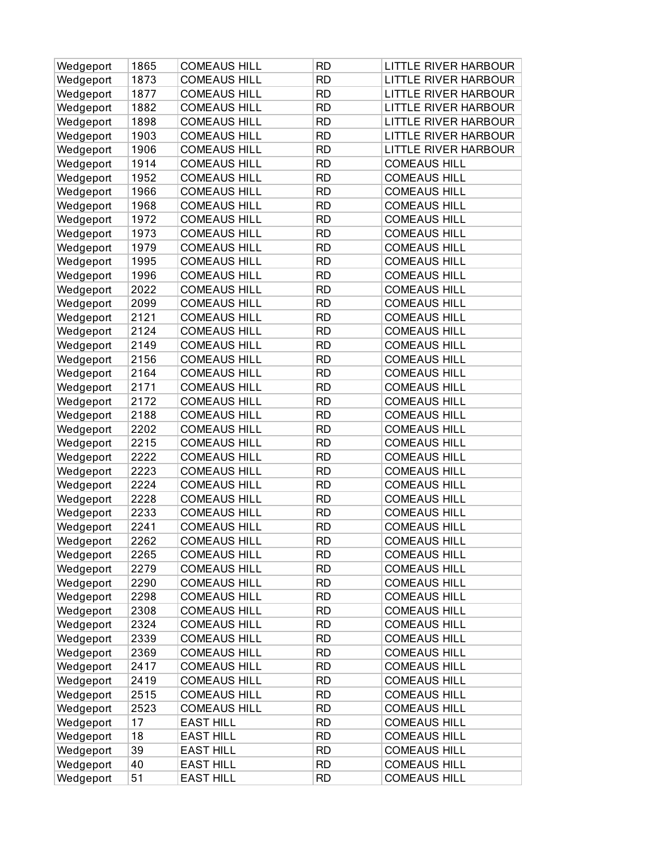| Wedgeport | 1865 | <b>COMEAUS HILL</b> | <b>RD</b> | LITTLE RIVER HARBOUR        |
|-----------|------|---------------------|-----------|-----------------------------|
| Wedgeport | 1873 | <b>COMEAUS HILL</b> | <b>RD</b> | LITTLE RIVER HARBOUR        |
| Wedgeport | 1877 | <b>COMEAUS HILL</b> | <b>RD</b> | LITTLE RIVER HARBOUR        |
| Wedgeport | 1882 | <b>COMEAUS HILL</b> | <b>RD</b> | <b>LITTLE RIVER HARBOUR</b> |
| Wedgeport | 1898 | <b>COMEAUS HILL</b> | <b>RD</b> | LITTLE RIVER HARBOUR        |
| Wedgeport | 1903 | <b>COMEAUS HILL</b> | <b>RD</b> | LITTLE RIVER HARBOUR        |
| Wedgeport | 1906 | <b>COMEAUS HILL</b> | <b>RD</b> | <b>LITTLE RIVER HARBOUR</b> |
| Wedgeport | 1914 | <b>COMEAUS HILL</b> | <b>RD</b> | <b>COMEAUS HILL</b>         |
| Wedgeport | 1952 | <b>COMEAUS HILL</b> | <b>RD</b> | <b>COMEAUS HILL</b>         |
| Wedgeport | 1966 | <b>COMEAUS HILL</b> | <b>RD</b> | <b>COMEAUS HILL</b>         |
| Wedgeport | 1968 | <b>COMEAUS HILL</b> | <b>RD</b> | <b>COMEAUS HILL</b>         |
| Wedgeport | 1972 | <b>COMEAUS HILL</b> | <b>RD</b> | <b>COMEAUS HILL</b>         |
| Wedgeport | 1973 | <b>COMEAUS HILL</b> | <b>RD</b> | <b>COMEAUS HILL</b>         |
| Wedgeport | 1979 | <b>COMEAUS HILL</b> | <b>RD</b> | <b>COMEAUS HILL</b>         |
| Wedgeport | 1995 | <b>COMEAUS HILL</b> | <b>RD</b> | <b>COMEAUS HILL</b>         |
| Wedgeport | 1996 | <b>COMEAUS HILL</b> | <b>RD</b> | <b>COMEAUS HILL</b>         |
| Wedgeport | 2022 | <b>COMEAUS HILL</b> | <b>RD</b> | <b>COMEAUS HILL</b>         |
| Wedgeport | 2099 | <b>COMEAUS HILL</b> | <b>RD</b> | <b>COMEAUS HILL</b>         |
| Wedgeport | 2121 | <b>COMEAUS HILL</b> | <b>RD</b> | <b>COMEAUS HILL</b>         |
| Wedgeport | 2124 | <b>COMEAUS HILL</b> | <b>RD</b> | <b>COMEAUS HILL</b>         |
| Wedgeport | 2149 | <b>COMEAUS HILL</b> | <b>RD</b> | <b>COMEAUS HILL</b>         |
| Wedgeport | 2156 | <b>COMEAUS HILL</b> | <b>RD</b> | <b>COMEAUS HILL</b>         |
| Wedgeport | 2164 | <b>COMEAUS HILL</b> | <b>RD</b> | <b>COMEAUS HILL</b>         |
| Wedgeport | 2171 | <b>COMEAUS HILL</b> | <b>RD</b> | <b>COMEAUS HILL</b>         |
| Wedgeport | 2172 | <b>COMEAUS HILL</b> | <b>RD</b> | <b>COMEAUS HILL</b>         |
| Wedgeport | 2188 | <b>COMEAUS HILL</b> | <b>RD</b> | <b>COMEAUS HILL</b>         |
| Wedgeport | 2202 | <b>COMEAUS HILL</b> | <b>RD</b> | <b>COMEAUS HILL</b>         |
| Wedgeport | 2215 | <b>COMEAUS HILL</b> | <b>RD</b> | <b>COMEAUS HILL</b>         |
| Wedgeport | 2222 | <b>COMEAUS HILL</b> | <b>RD</b> | <b>COMEAUS HILL</b>         |
| Wedgeport | 2223 | <b>COMEAUS HILL</b> | <b>RD</b> | <b>COMEAUS HILL</b>         |
| Wedgeport | 2224 | <b>COMEAUS HILL</b> | <b>RD</b> | <b>COMEAUS HILL</b>         |
| Wedgeport | 2228 | <b>COMEAUS HILL</b> | <b>RD</b> | <b>COMEAUS HILL</b>         |
| Wedgeport | 2233 | <b>COMEAUS HILL</b> | <b>RD</b> | <b>COMEAUS HILL</b>         |
| Wedgeport | 2241 | <b>COMEAUS HILL</b> | <b>RD</b> | <b>COMEAUS HILL</b>         |
| Wedgeport | 2262 | <b>COMEAUS HILL</b> | <b>RD</b> | <b>COMEAUS HILL</b>         |
| Wedgeport | 2265 | <b>COMEAUS HILL</b> | <b>RD</b> | <b>COMEAUS HILL</b>         |
| Wedgeport | 2279 | <b>COMEAUS HILL</b> | <b>RD</b> | <b>COMEAUS HILL</b>         |
| Wedgeport | 2290 | <b>COMEAUS HILL</b> | <b>RD</b> | <b>COMEAUS HILL</b>         |
| Wedgeport | 2298 | <b>COMEAUS HILL</b> | <b>RD</b> | <b>COMEAUS HILL</b>         |
| Wedgeport | 2308 | <b>COMEAUS HILL</b> | <b>RD</b> | <b>COMEAUS HILL</b>         |
| Wedgeport | 2324 | <b>COMEAUS HILL</b> | <b>RD</b> | <b>COMEAUS HILL</b>         |
| Wedgeport | 2339 | <b>COMEAUS HILL</b> | <b>RD</b> | <b>COMEAUS HILL</b>         |
| Wedgeport | 2369 | <b>COMEAUS HILL</b> | <b>RD</b> | <b>COMEAUS HILL</b>         |
| Wedgeport | 2417 | <b>COMEAUS HILL</b> | <b>RD</b> | <b>COMEAUS HILL</b>         |
| Wedgeport | 2419 | <b>COMEAUS HILL</b> | <b>RD</b> | <b>COMEAUS HILL</b>         |
| Wedgeport | 2515 | <b>COMEAUS HILL</b> | <b>RD</b> | <b>COMEAUS HILL</b>         |
| Wedgeport | 2523 | <b>COMEAUS HILL</b> | <b>RD</b> | <b>COMEAUS HILL</b>         |
| Wedgeport | 17   | <b>EAST HILL</b>    | <b>RD</b> | <b>COMEAUS HILL</b>         |
| Wedgeport | 18   | <b>EAST HILL</b>    | <b>RD</b> | <b>COMEAUS HILL</b>         |
| Wedgeport | 39   | <b>EAST HILL</b>    | <b>RD</b> | <b>COMEAUS HILL</b>         |
| Wedgeport | 40   | <b>EAST HILL</b>    | <b>RD</b> | <b>COMEAUS HILL</b>         |
| Wedgeport | 51   | <b>EAST HILL</b>    | <b>RD</b> | <b>COMEAUS HILL</b>         |